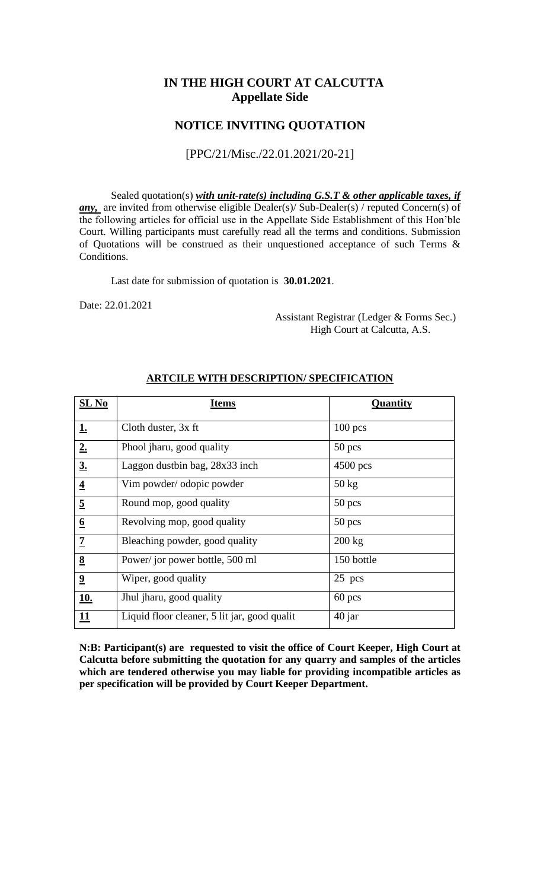## **IN THE HIGH COURT AT CALCUTTA Appellate Side**

### **NOTICE INVITING QUOTATION**

#### [PPC/21/Misc./22.01.2021/20-21]

Sealed quotation(s) *with unit-rate(s) including G.S.T & other applicable taxes, if any*, are invited from otherwise eligible Dealer(s)/ Sub-Dealer(s) / reputed Concern(s) of the following articles for official use in the Appellate Side Establishment of this Hon'ble Court. Willing participants must carefully read all the terms and conditions. Submission of Quotations will be construed as their unquestioned acceptance of such Terms & Conditions.

Last date for submission of quotation is **30.01.2021**.

Date: 22.01.2021

 Assistant Registrar (Ledger & Forms Sec.) High Court at Calcutta, A.S.

| $SL$ No                 | <b>Items</b>                                 | Quantity         |  |
|-------------------------|----------------------------------------------|------------------|--|
| <u>1.</u>               | Cloth duster, 3x ft                          | $100$ pcs        |  |
| 2.                      | Phool jharu, good quality                    | $50$ pcs         |  |
| $\underline{3}$ .       | Laggon dustbin bag, 28x33 inch               | $4500$ pcs       |  |
| $\overline{\mathbf{4}}$ | Vim powder/odopic powder                     | $50 \text{ kg}$  |  |
| $\overline{5}$          | Round mop, good quality                      | $50$ pcs         |  |
| $\underline{6}$         | Revolving mop, good quality                  | $50$ pcs         |  |
| $\overline{1}$          | Bleaching powder, good quality               | $200 \text{ kg}$ |  |
| $\underline{8}$         | Power/jor power bottle, 500 ml               | 150 bottle       |  |
| $\overline{\mathbf{2}}$ | Wiper, good quality                          | $25$ pcs         |  |
| <u>10.</u>              | Jhul jharu, good quality                     | $60$ pcs         |  |
| <u> 11</u>              | Liquid floor cleaner, 5 lit jar, good qualit | $40$ jar         |  |

#### **ARTCILE WITH DESCRIPTION/ SPECIFICATION**

**N:B: Participant(s) are requested to visit the office of Court Keeper, High Court at Calcutta before submitting the quotation for any quarry and samples of the articles which are tendered otherwise you may liable for providing incompatible articles as per specification will be provided by Court Keeper Department.**